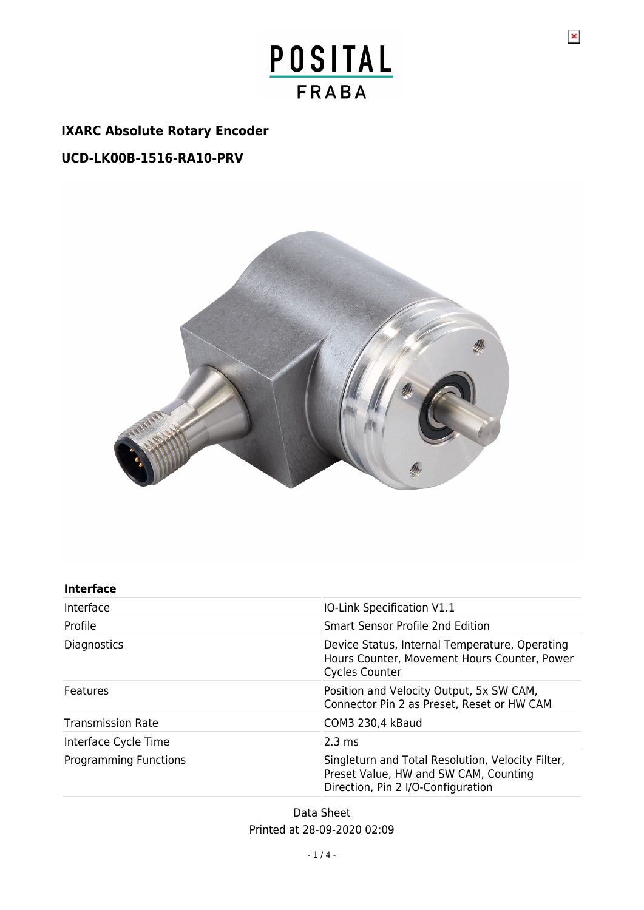# POSITAL **FRABA**

## **IXARC Absolute Rotary Encoder**

## **UCD-LK00B-1516-RA10-PRV**



## **Interface**

| Interface                    | IO-Link Specification V1.1                                                                                                       |  |
|------------------------------|----------------------------------------------------------------------------------------------------------------------------------|--|
| Profile                      | Smart Sensor Profile 2nd Edition                                                                                                 |  |
| <b>Diagnostics</b>           | Device Status, Internal Temperature, Operating<br>Hours Counter, Movement Hours Counter, Power<br><b>Cycles Counter</b>          |  |
| Features                     | Position and Velocity Output, 5x SW CAM,<br>Connector Pin 2 as Preset, Reset or HW CAM                                           |  |
| <b>Transmission Rate</b>     | COM3 230,4 kBaud                                                                                                                 |  |
| Interface Cycle Time         | $2.3 \text{ ms}$                                                                                                                 |  |
| <b>Programming Functions</b> | Singleturn and Total Resolution, Velocity Filter,<br>Preset Value, HW and SW CAM, Counting<br>Direction, Pin 2 I/O-Configuration |  |

Data Sheet Printed at 28-09-2020 02:09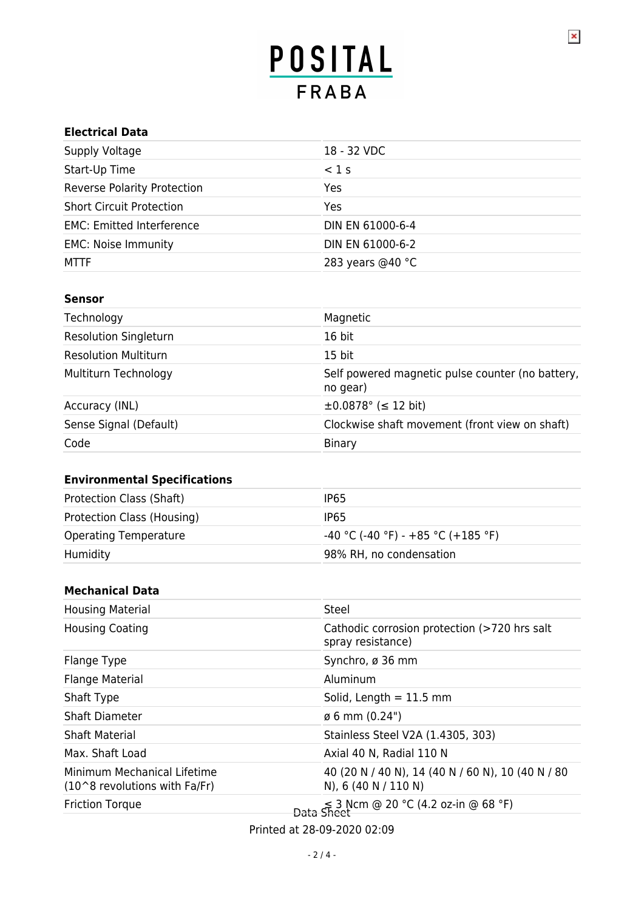$\pmb{\times}$ 

#### **Electrical Data**

| Supply Voltage                     | 18 - 32 VDC      |  |
|------------------------------------|------------------|--|
| Start-Up Time                      | $<$ 1 s          |  |
| <b>Reverse Polarity Protection</b> | Yes              |  |
| <b>Short Circuit Protection</b>    | Yes              |  |
| <b>EMC: Emitted Interference</b>   | DIN EN 61000-6-4 |  |
| <b>EMC: Noise Immunity</b>         | DIN EN 61000-6-2 |  |
| <b>MTTF</b>                        | 283 years @40 °C |  |

#### **Sensor**

| Technology                   | Magnetic                                                     |  |
|------------------------------|--------------------------------------------------------------|--|
| <b>Resolution Singleturn</b> | 16 bit                                                       |  |
| <b>Resolution Multiturn</b>  | 15 bit                                                       |  |
| Multiturn Technology         | Self powered magnetic pulse counter (no battery,<br>no gear) |  |
| Accuracy (INL)               | $\pm 0.0878$ ° ( $\leq 12$ bit)                              |  |
| Sense Signal (Default)       | Clockwise shaft movement (front view on shaft)               |  |
| Code                         | Binary                                                       |  |

## **Environmental Specifications**

| Protection Class (Shaft)     | IP <sub>65</sub>                     |  |
|------------------------------|--------------------------------------|--|
| Protection Class (Housing)   | IP <sub>65</sub>                     |  |
| <b>Operating Temperature</b> | $-40$ °C (-40 °F) - +85 °C (+185 °F) |  |
| Humidity                     | 98% RH, no condensation              |  |

#### **Mechanical Data**

| <b>Housing Material</b>                                      | Steel                                                                     |  |
|--------------------------------------------------------------|---------------------------------------------------------------------------|--|
| <b>Housing Coating</b>                                       | Cathodic corrosion protection (>720 hrs salt<br>spray resistance)         |  |
| Flange Type                                                  | Synchro, ø 36 mm                                                          |  |
| <b>Flange Material</b>                                       | Aluminum                                                                  |  |
| Shaft Type                                                   | Solid, Length $= 11.5$ mm                                                 |  |
| Shaft Diameter                                               | $\emptyset$ 6 mm (0.24")                                                  |  |
| <b>Shaft Material</b>                                        | Stainless Steel V2A (1.4305, 303)                                         |  |
| Max. Shaft Load                                              | Axial 40 N, Radial 110 N                                                  |  |
| Minimum Mechanical Lifetime<br>(10^8 revolutions with Fa/Fr) | 40 (20 N / 40 N), 14 (40 N / 60 N), 10 (40 N / 80<br>N), 6 (40 N / 110 N) |  |
| <b>Friction Torque</b>                                       | £ 3 Ncm @ 20 °C (4.2 oz-in @ 68 °F)                                       |  |

Printed at 28-09-2020 02:09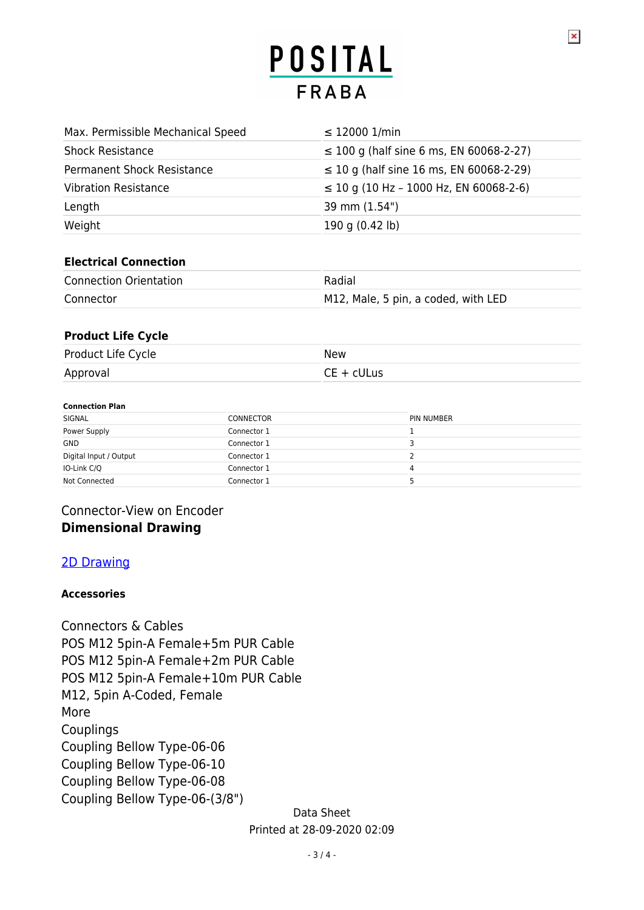$\pmb{\times}$ 

| Max. Permissible Mechanical Speed | $\leq$ 12000 1/min                           |  |
|-----------------------------------|----------------------------------------------|--|
| <b>Shock Resistance</b>           | $\leq$ 100 g (half sine 6 ms, EN 60068-2-27) |  |
| <b>Permanent Shock Resistance</b> | $\leq$ 10 g (half sine 16 ms, EN 60068-2-29) |  |
| <b>Vibration Resistance</b>       | $\leq$ 10 g (10 Hz - 1000 Hz, EN 60068-2-6)  |  |
| Length                            | 39 mm (1.54")                                |  |
| Weight                            | 190 g (0.42 lb)                              |  |

#### **Electrical Connection**

| <b>Connection Orientation</b> | Radial                              |
|-------------------------------|-------------------------------------|
| Connector                     | M12, Male, 5 pin, a coded, with LED |

#### **Product Life Cycle**

| Product Life Cycle | New          |
|--------------------|--------------|
| Approval           | $CE + cULus$ |

#### **Connection Plan**

| SIGNAL                 | <b>CONNECTOR</b> | <b>PIN NUMBER</b> |
|------------------------|------------------|-------------------|
| Power Supply           | Connector 1      |                   |
| <b>GND</b>             | Connector 1      |                   |
| Digital Input / Output | Connector 1      |                   |
| IO-Link C/Q            | Connector 1      | 4                 |
| Not Connected          | Connector 1      |                   |

## Connector-View on Encoder **Dimensional Drawing**

## [2D Drawing](http://direct.posital.com/en/system/webservices/product-drawing.php?i1=aHR0cHM6Ly93d3cucG9zaXRhbC5jb20vbWVkaWEvcG9zaXRhbF9mc2ltZy9kcmF3aW5nLW1jZC1yYTEwLXEzYS1uXzk1MHhYLnBuZw==&i2=aHR0cHM6Ly93d3cucG9zaXRhbC5jb20vbWVkaWEvcG9zaXRhbF9mc2ltZy9kcmF3aW5nLW1jLTMtY3ItMzIwLXN6bS1ubm4xMmItbi1wcnYtbF85NTB4WC5wbmc=&i3=&p=VUNELUxLMDBCLTE1MTYtUkExMC1QUlY=)

#### **Accessories**

Connectors & Cables POS M12 5pin-A Female+5m PUR Cable POS M12 5pin-A Female+2m PUR Cable POS M12 5pin-A Female+10m PUR Cable M12, 5pin A-Coded, Female More Couplings Coupling Bellow Type-06-06 Coupling Bellow Type-06-10 Coupling Bellow Type-06-08 Coupling Bellow Type-06-(3/8")

Data Sheet Printed at 28-09-2020 02:09